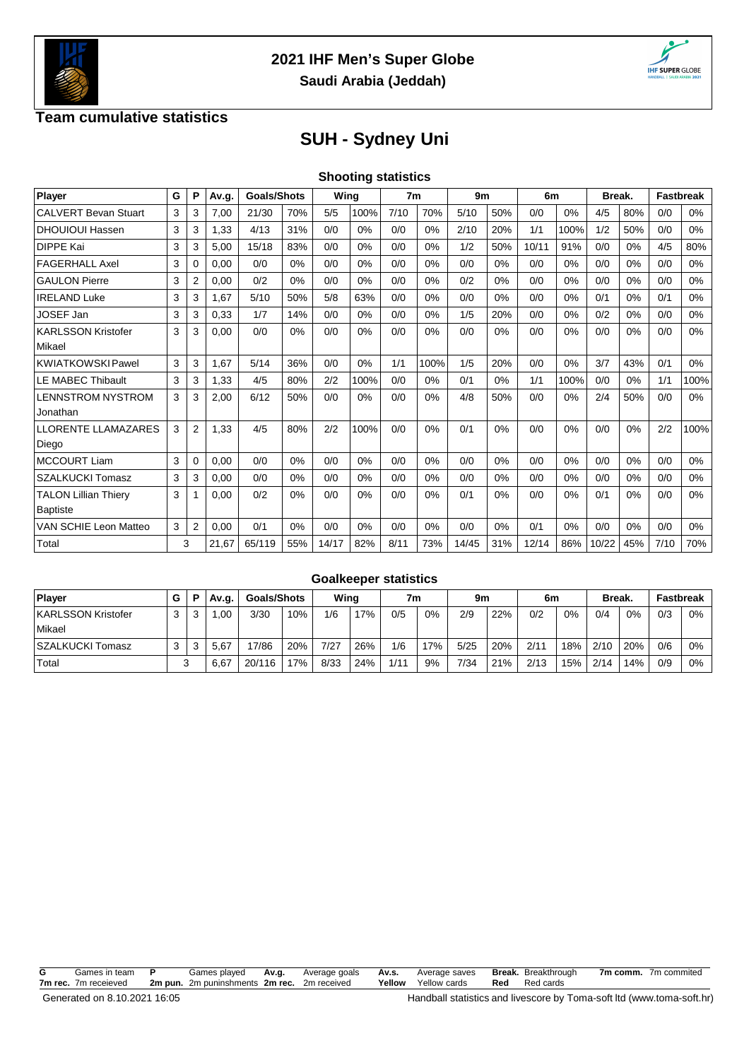



## **Team cumulative statistics**

## **SUH - Sydney Uni**

|  | <b>Shooting statistics</b> |
|--|----------------------------|
|  |                            |

| Player                      | G | P              | Av.g. | <b>Goals/Shots</b> |     | Wing  |      | 7 <sub>m</sub> |       | 9 <sub>m</sub> |     | 6m    |      | Break. |     | <b>Fastbreak</b> |       |
|-----------------------------|---|----------------|-------|--------------------|-----|-------|------|----------------|-------|----------------|-----|-------|------|--------|-----|------------------|-------|
| <b>CALVERT Bevan Stuart</b> | 3 | 3              | 7,00  | 21/30              | 70% | 5/5   | 100% | 7/10           | 70%   | 5/10           | 50% | 0/0   | 0%   | 4/5    | 80% | 0/0              | 0%    |
| <b>DHOUIOUI Hassen</b>      | 3 | 3              | 1,33  | 4/13               | 31% | 0/0   | 0%   | 0/0            | $0\%$ | 2/10           | 20% | 1/1   | 100% | 1/2    | 50% | 0/0              | 0%    |
| <b>DIPPE Kai</b>            | 3 | 3              | 5,00  | 15/18              | 83% | 0/0   | 0%   | 0/0            | $0\%$ | 1/2            | 50% | 10/11 | 91%  | 0/0    | 0%  | 4/5              | 80%   |
| <b>FAGERHALL Axel</b>       | 3 | 0              | 0,00  | 0/0                | 0%  | 0/0   | 0%   | 0/0            | $0\%$ | 0/0            | 0%  | 0/0   | 0%   | 0/0    | 0%  | 0/0              | 0%    |
| <b>GAULON Pierre</b>        | 3 | 2              | 0,00  | 0/2                | 0%  | 0/0   | 0%   | 0/0            | 0%    | 0/2            | 0%  | 0/0   | 0%   | 0/0    | 0%  | 0/0              | $0\%$ |
| <b>IRELAND Luke</b>         | 3 | 3              | 1.67  | 5/10               | 50% | 5/8   | 63%  | 0/0            | 0%    | 0/0            | 0%  | 0/0   | 0%   | 0/1    | 0%  | 0/1              | 0%    |
| <b>JOSEF Jan</b>            | 3 | 3              | 0,33  | 1/7                | 14% | 0/0   | 0%   | 0/0            | 0%    | 1/5            | 20% | 0/0   | 0%   | 0/2    | 0%  | 0/0              | 0%    |
| <b>KARLSSON Kristofer</b>   | 3 | 3              | 0,00  | 0/0                | 0%  | 0/0   | 0%   | 0/0            | $0\%$ | 0/0            | 0%  | 0/0   | 0%   | 0/0    | 0%  | 0/0              | 0%    |
| Mikael                      |   |                |       |                    |     |       |      |                |       |                |     |       |      |        |     |                  |       |
| <b>KWIATKOWSKI Pawel</b>    | 3 | 3              | 1,67  | 5/14               | 36% | 0/0   | 0%   | 1/1            | 100%  | 1/5            | 20% | 0/0   | 0%   | 3/7    | 43% | 0/1              | 0%    |
| <b>LE MABEC Thibault</b>    | 3 | 3              | 1,33  | 4/5                | 80% | 2/2   | 100% | 0/0            | 0%    | 0/1            | 0%  | 1/1   | 100% | 0/0    | 0%  | 1/1              | 100%  |
| <b>LENNSTROM NYSTROM</b>    | 3 | 3              | 2,00  | 6/12               | 50% | 0/0   | 0%   | 0/0            | 0%    | 4/8            | 50% | 0/0   | 0%   | 2/4    | 50% | 0/0              | 0%    |
| Jonathan                    |   |                |       |                    |     |       |      |                |       |                |     |       |      |        |     |                  |       |
| LLORENTE LLAMAZARES         | 3 | $\overline{2}$ | 1,33  | 4/5                | 80% | 2/2   | 100% | 0/0            | 0%    | 0/1            | 0%  | 0/0   | 0%   | 0/0    | 0%  | 2/2              | 100%  |
| Diego                       |   |                |       |                    |     |       |      |                |       |                |     |       |      |        |     |                  |       |
| <b>MCCOURT Liam</b>         | 3 | 0              | 0,00  | 0/0                | 0%  | 0/0   | 0%   | 0/0            | 0%    | 0/0            | 0%  | 0/0   | 0%   | 0/0    | 0%  | 0/0              | 0%    |
| <b>SZALKUCKI Tomasz</b>     | 3 | 3              | 0,00  | 0/0                | 0%  | 0/0   | 0%   | 0/0            | 0%    | 0/0            | 0%  | 0/0   | 0%   | 0/0    | 0%  | 0/0              | 0%    |
| <b>TALON Lillian Thiery</b> | 3 |                | 0,00  | 0/2                | 0%  | 0/0   | 0%   | 0/0            | 0%    | 0/1            | 0%  | 0/0   | 0%   | 0/1    | 0%  | 0/0              | 0%    |
| <b>Baptiste</b>             |   |                |       |                    |     |       |      |                |       |                |     |       |      |        |     |                  |       |
| VAN SCHIE Leon Matteo       | 3 | $\overline{2}$ | 0,00  | 0/1                | 0%  | 0/0   | 0%   | 0/0            | 0%    | 0/0            | 0%  | 0/1   | 0%   | 0/0    | 0%  | 0/0              | 0%    |
| Total                       |   | 3              | 21,67 | 65/119             | 55% | 14/17 | 82%  | 8/11           | 73%   | 14/45          | 31% | 12/14 | 86%  | 10/22  | 45% | 7/10             | 70%   |

|                                     | <b>Goalkeeper statistics</b> |  |       |                    |     |      |     |      |     |      |     |      |     |              |     |                  |    |
|-------------------------------------|------------------------------|--|-------|--------------------|-----|------|-----|------|-----|------|-----|------|-----|--------------|-----|------------------|----|
| Player                              | G                            |  | Av.g. | <b>Goals/Shots</b> |     | Wing |     | 7m   |     | 9m   |     | 6m   |     | <b>Break</b> |     | <b>Fastbreak</b> |    |
| <b>KARLSSON Kristofer</b><br>Mikael | 3                            |  | .00   | 3/30               | 10% | 1/6  | 17% | 0/5  | 0%  | 2/9  | 22% | 0/2  | 0%  | 0/4          | 0%  | 0/3              | 0% |
| SZALKUCKI Tomasz                    | 3                            |  | 5.67  | 17/86              | 20% | 7/27 | 26% | 1/6  | 17% | 5/25 | 20% | 2/11 | 18% | 2/10         | 20% | 0/6              | 0% |
| Total                               |                              |  | 6,67  | 20/116             | 17% | 8/33 | 24% | 1/11 | 9%  | 7/34 | 21% | 2/13 | 15% | 2/14         | 14% | 0/9              | 0% |

| G | Games in team        |         | Games played            | Av.a. | Average goals | Av.s.  | Average saves |     | <b>Break.</b> Breakthrough | 7m comm. | 7m commited |
|---|----------------------|---------|-------------------------|-------|---------------|--------|---------------|-----|----------------------------|----------|-------------|
|   | 7m rec. 7m receieved | 2m pun. | 2m puninshments 2m rec. |       | 2m received   | Yellow | Yellow cards  | Red | Red cards                  |          |             |
|   |                      |         |                         |       |               |        |               |     |                            |          |             |